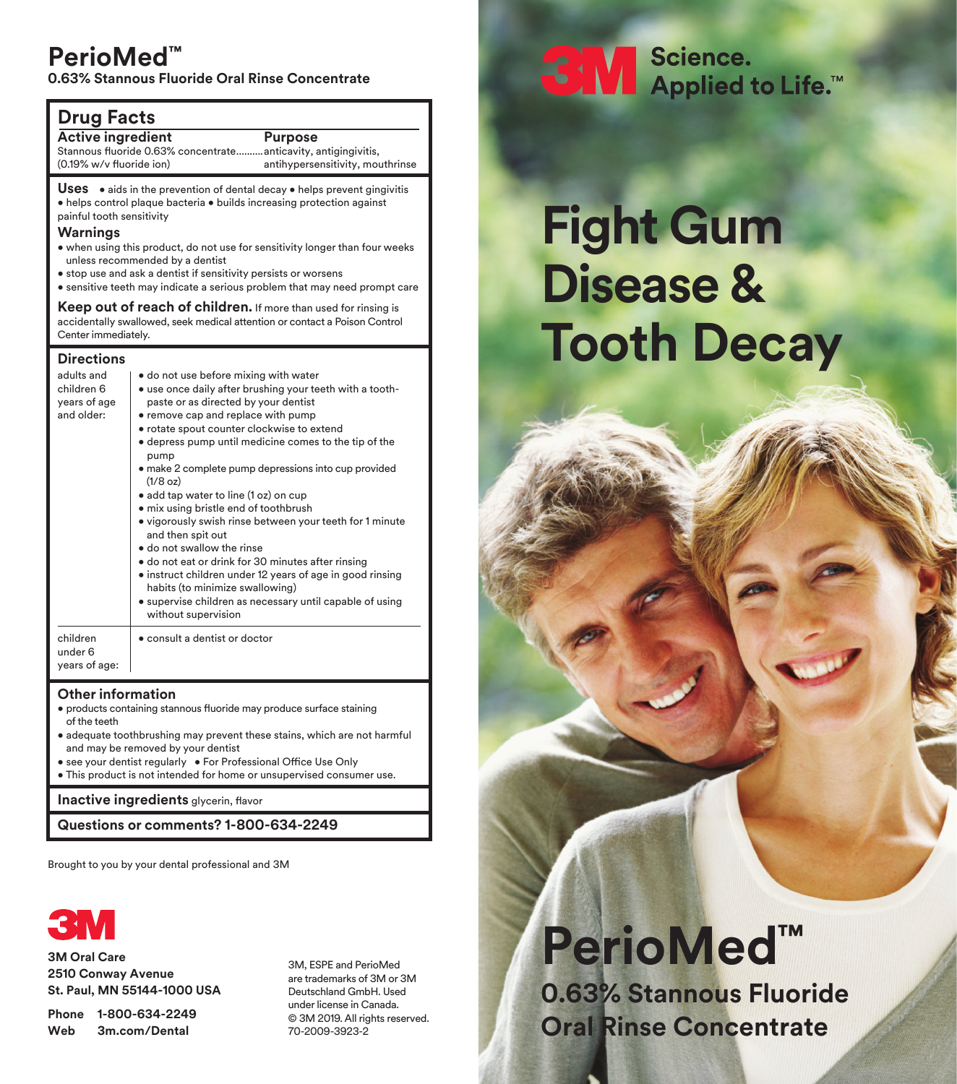### **PerioMed™**

**0.63% Stannous Fluoride Oral Rinse Concentrate**

### **Drug Facts**

**Active ingredient Purpose**

Stannous fluoride 0.63% concentrate..........anticavity, antigingivitis, (0.19% w/v fluoride ion)

antihypersensitivity, mouthrinse

Uses • aids in the prevention of dental decay • helps prevent gingivitis • helps control plaque bacteria • builds increasing protection against painful tooth sensitivity

#### **Warnings**

- when using this product, do not use for sensitivity longer than four weeks unless recommended by a dentist
- stop use and ask a dentist if sensitivity persists or worsens
- sensitive teeth may indicate a serious problem that may need prompt care

**Keep out of reach of children.** If more than used for rinsing is accidentally swallowed, seek medical attention or contact a Poison Control Center immediately.

#### **Directions**

| adults and<br>children 6<br>years of age<br>and older: | • do not use before mixing with water<br>• use once daily after brushing your teeth with a tooth-<br>paste or as directed by your dentist<br>• remove cap and replace with pump<br>• rotate spout counter clockwise to extend<br>• depress pump until medicine comes to the tip of the<br>pump<br>· make 2 complete pump depressions into cup provided<br>(1/8 oz)<br>• add tap water to line (1 oz) on cup<br>• mix using bristle end of toothbrush<br>• vigorously swish rinse between your teeth for 1 minute<br>and then spit out<br>· do not swallow the rinse<br>· do not eat or drink for 30 minutes after rinsing<br>• instruct children under 12 years of age in good rinsing<br>habits (to minimize swallowing)<br>• supervise children as necessary until capable of using<br>without supervision |
|--------------------------------------------------------|--------------------------------------------------------------------------------------------------------------------------------------------------------------------------------------------------------------------------------------------------------------------------------------------------------------------------------------------------------------------------------------------------------------------------------------------------------------------------------------------------------------------------------------------------------------------------------------------------------------------------------------------------------------------------------------------------------------------------------------------------------------------------------------------------------------|
| children<br>under 6<br>years of age:                   | • consult a dentist or doctor                                                                                                                                                                                                                                                                                                                                                                                                                                                                                                                                                                                                                                                                                                                                                                                |

### **Other information**

- products containing stannous fluoride may produce surface staining of the teeth
- adequate toothbrushing may prevent these stains, which are not harmful and may be removed by your dentist
- see your dentist regularly For Professional Office Use Only
- This product is not intended for home or unsupervised consumer use.

**Inactive ingredients** glycerin, flavor

**Questions or comments? 1-800-634-2249**

Brought to you by your dental professional and 3M



**3M Oral Care 2510 Conway Avenue St. Paul, MN 55144-1000 USA**

**Phone 1-800-634-2249 Web 3m.com/Dental**

3M, ESPE and PerioMed are trademarks of 3M or 3M Deutschland GmbH. Used under license in Canada. © 3M 2019. All rights reserved. 70-2009-3923-2

# SN Science.<br>Applied to Life.™

# **Fight Gum Disease & Tooth Decay**

# **PerioMed™ 0.63% Stannous Fluoride Oral Rinse Concentrate**